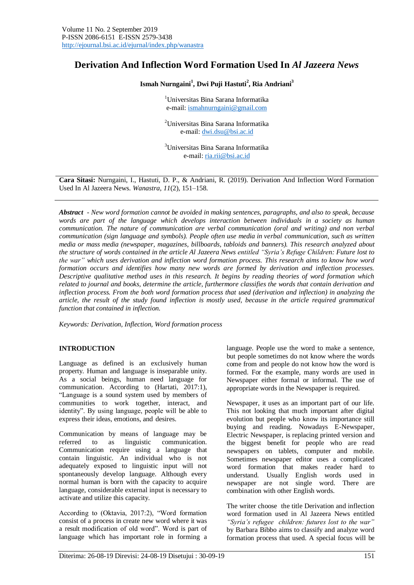# **Derivation And Inflection Word Formation Used In** *Al Jazeera News*

**Ismah Nurngaini<sup>1</sup> , Dwi Puji Hastuti<sup>2</sup> , Ria Andriani<sup>3</sup>**

<sup>1</sup>Universitas Bina Sarana Informatika e-mail: [ismahnurngaini@gmail.com](mailto:ismahnurngaini@gmail.com)

<sup>2</sup>Universitas Bina Sarana Informatika e-mail: [dwi.dsu@bsi.ac.id](mailto:dwi.dsu@bsi.ac.id)

<sup>3</sup>Universitas Bina Sarana Informatika e-mail: [ria.rii@bsi.ac.id](mailto:ria.rii@bsi.ac.id)

**Cara Sitasi:** Nurngaini, I., Hastuti, D. P., & Andriani, R. (2019). Derivation And Inflection Word Formation Used In Al Jazeera News. *Wanastra*, *11*(2), 151–158.

*Abstract - New word formation cannot be avoided in making sentences, paragraphs, and also to speak, because words are part of the language which develops interaction between individuals in a society as human communication. The nature of communication are verbal communication (oral and writing) and non verbal communication (sign language and symbols). People often use media in verbal communication, such as written media or mass media (newspaper, magazines, billboards, tabloids and banners). This research analyzed about the structure of words contained in the article Al Jazeera News entitled "Syria's Refuge Children: Future lost to the war" which uses derivation and inflection word formation process. This research aims to know how word formation occurs and identifies how many new words are formed by derivation and inflection processes. Descriptive qualitative method uses in this research. It begins by reading theories of word formation which related to journal and books, determine the article, furthermore classifies the words that contain derivation and inflection process. From the both word formation process that used (derivation and inflection) in analyzing the article, the result of the study found inflection is mostly used, because in the article required grammatical function that contained in inflection.*

*Keywords: Derivation, Inflection, Word formation process*

#### **INTRODUCTION**

Language as defined is an exclusively human property. Human and language is inseparable unity. As a social beings, human need language for communication. According to (Hartati, 2017:1), "Language is a sound system used by members of communities to work together, interact, and identity". By using language, people will be able to express their ideas, emotions, and desires.

Communication by means of language may be referred to as linguistic communication. Communication require using a language that contain linguistic. An individual who is not adequately exposed to linguistic input will not spontaneously develop language. Although every normal human is born with the capacity to acquire language, considerable external input is necessary to activate and utilize this capacity.

According to (Oktavia, 2017:2), "Word formation consist of a process in create new word where it was a result modification of old word". Word is part of language which has important role in forming a language. People use the word to make a sentence, but people sometimes do not know where the words come from and people do not know how the word is formed. For the example, many words are used in Newspaper either formal or informal. The use of appropriate words in the Newspaper is required.

Newspaper, it uses as an important part of our life. This not looking that much important after digital evolution but people who know its importance still buying and reading. Nowadays E-Newspaper, Electric Newspaper, is replacing printed version and the biggest benefit for people who are read newspapers on tablets, computer and mobile. Sometimes newspaper editor uses a complicated word formation that makes reader hard to understand. Usually English words used in newspaper are not single word. There are combination with other English words.

The writer choose the title Derivation and inflection word formation used in Al Jazeera News entitled *"Syria's refugee children: futures lost to the war"* by Barbara Bibbo aims to classify and analyze word formation process that used. A special focus will be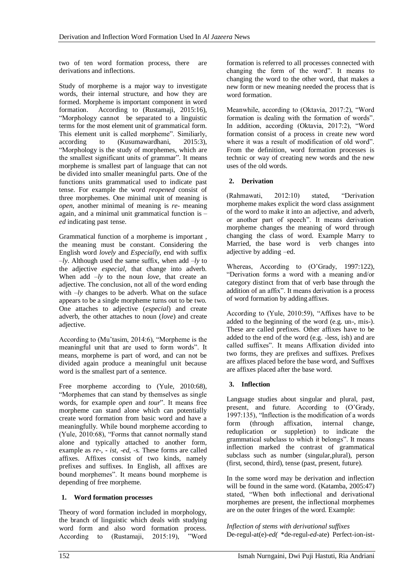two of ten word formation process, there are derivations and inflections.

Study of morpheme is a major way to investigate words, their internal structure, and how they are formed. Morpheme is important component in word formation. According to (Rustamaji, 2015:16), "Morphology cannot be separated to a linguistic terms for the most element unit of grammatical form. This element unit is called morpheme". Similiarly, according to (Kusumawardhani, 2015:3), "Morphology is the study of morphemes, which are the smallest significant units of grammar". It means morpheme is smallest part of language that can not be divided into smaller meaningful parts. One of the functions units grammatical used to indicate past tense. For example the word *reopened* consist of three morphemes. One minimal unit of meaning is *open*, another minimal of meaning is *re-* meaning again, and a minimal unit grammatical function is *– ed* indicating past tense.

Grammatical function of a morpheme is important , the meaning must be constant. Considering the English word *lovely* and *Especially*, end with suffix *–ly*. Although used the same suffix, when add *–ly* to the adjective *especial,* that change into adverb. When add *–ly* to the noun *love*, that create an adjective. The conclusion, not all of the word ending with  $-ly$  changes to be adverb. What on the suface appears to be a single morpheme turns out to be two. One attaches to adjective (*especial*) and create adverb, the other attaches to noun (*love*) and create adjective.

According to (Mu'tasim, 2014:6), "Morpheme is the meaningful unit that are used to form words". It means, morpheme is part of word, and can not be divided again produce a meaningful unit because word is the smallest part of a sentence.

Free morpheme according to (Yule, 2010:68), "Morphemes that can stand by themselves as single words, for example *open* and *tour*". It means free morpheme can stand alone which can potentially create word formation from basic word and have a meaningfully. While bound morpheme according to (Yule, 2010:68), "Forms that cannot normally stand alone and typically attached to another form, example as *re-, - ist, -ed, -s.* These forms are called affixes. Affixes consist of two kinds, namely prefixes and suffixes. In English, all affixes are bound morphemes". It means bound morpheme is depending of free morpheme.

# **1. Word formation processes**

Theory of word formation included in morphology, the branch of linguistic which deals with studying word form and also word formation process. According to (Rustamaji, 2015:19), "Word

formation is referred to all processes connected with changing the form of the word". It means to changing the word to the other word, that makes a new form or new meaning needed the process that is word formation.

Meanwhile, according to (Oktavia, 2017:2), "Word formation is dealing with the formation of words". In addition, according (Oktavia, 2017:2), "Word formation consist of a process in create new word where it was a result of modification of old word". From the definition, word formation processes is technic or way of creating new words and the new uses of the old words.

# **2. Derivation**

(Rahmawati, 2012:10) stated, "Derivation morpheme makes explicit the word class assignment of the word to make it into an adjective, and adverb, or another part of speech". It means derivation morpheme changes the meaning of word through changing the class of word. Example Marry to Married, the base word is verb changes into adjective by adding –ed.

Whereas, According to (O'Grady, 1997:122), "Derivation forms a word with a meaning and/or category distinct from that of verb base through the addition of an affix". It means derivation is a process of word formation by adding affixes.

According to (Yule, 2010:59), "Affixes have to be added to the beginning of the word (e.g. un-, mis-). These are called prefixes. Other affixes have to be added to the end of the word (e.g. -less, ish) and are called suffixes". It means Affixation divided into two forms, they are prefixes and suffixes. Prefixes are affixes placed before the base word, and Suffixes are affixes placed after the base word.

# **3. Inflection**

Language studies about singular and plural, past, present, and future. According to (O'Grady, 1997:135), "Inflection is the modification of a words form (through affixation, internal change, reduplication or suppletion) to indicate the grammatical subclass to which it belongs". It means inflection marked the contrast of grammatical subclass such as number (singular,plural), person (first, second, third), tense (past, present, future).

In the some word may be derivation and inflection will be found in the same word. (Katamba, 2005:47) stated, "When both inflectional and derivational morphemes are present, the inflectional morphemes are on the outer fringes of the word. Example:

*Inflection of stems with derivational suffixes* De-regul-at(e)-*ed(* \*de-regul-*ed*-ate) Perfect-ion-ist-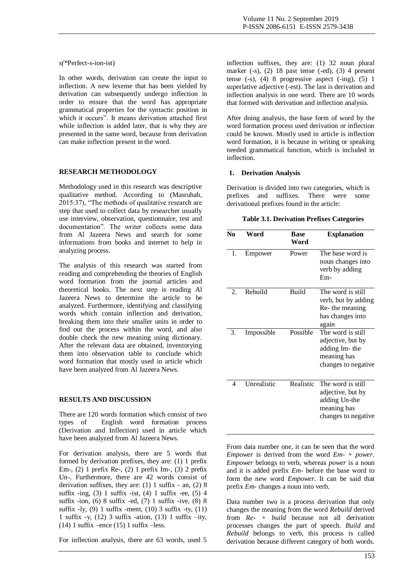#### *s(\**Perfect-*s*-ion-ist)

In other words, derivation can create the input to inflection. A new lexeme that has been yielded by derivation can subsequently undergo inflection in order to ensure that the word has appropriate grammatical properties for the syntactic position in which it occurs". It means derivation attached first while inflection is added later, that is why they are presented in the same word, because from derivation can make inflection present in the word.

#### **RESEARCH METHODOLOGY**

Methodology used in this research was descriptive qualitative method. According to (Masruhah, 2015:37), "The methods of qualitative research are step that used to collect data by researcher usually use interview, observation, questionnaire, test and documentation". The writer collects some data from Al Jazeera News and search for some informations from books and internet to help in analyzing process.

The analysis of this research was started from reading and comprehending the theories of English word formation from the journal articles and theoretical books. The next step is reading Al Jazeera News to determine the article to be analyzed. Furthermore, identifying and classifying words which contain inflection and derivation, breaking them into their smaller units in order to find out the process within the word, and also double check the new meaning using dictionary. After the relevant data are obtained, inventorying them into observation table to conclude which word formation that mostly used in article which have been analyzed from Al Jazeera News.

#### **RESULTS AND DISCUSSION**

There are 120 words formation which consist of two types of English word formation process (Derivation and Inflection) used in article which have been analyzed from Al Jazeera News.

For derivation analysis, there are 5 words that formed by derivation prefixes, they are: (1) 1 prefix Em-, (2) 1 prefix Re-, (2) 1 prefix Im-, (3) 2 prefix Un-. Furthermore, there are 42 words consist of derivation suffixes, they are: (1) 1 suffix - an, (2) 8 suffix  $-$ ing, (3) 1 suffix  $-$ ist, (4) 1 suffix  $-$ ee, (5) 4 suffix -ion,  $(6)$  8 suffix -ed,  $(7)$  1 suffix -ive,  $(8)$  8 suffix  $-ly$ , (9) 1 suffix -ment, (10) 3 suffix -ty, (11) 1 suffix -y, (12) 3 suffix -ation, (13) 1 suffix –ity, (14) 1 suffix –ence (15) 1 suffix –less.

For inflection analysis, there are 63 words, used 5

inflection suffixes, they are: (1) 32 noun plural marker (-s), (2) 18 past tense (-ed), (3) 4 present tense  $(-s)$ ,  $(4)$  8 progressive aspect  $(-ing)$ ,  $(5)$  1 superlative adjective (-est). The last is derivation and inflection analysis in one word. There are 10 words that formed with derivation and inflection analysis.

After doing analysis, the base form of word by the word formation process used derivation or inflection could be known. Mostly used in article is inflection word formation, it is because in writing or speaking needed grammatical function, which is included in inflection.

#### **1. Derivation Analysis**

Derivation is divided into two categories, which is prefixes and suffixes. There were some derivational prefixes found in the article:

| N <sub>0</sub>              | Word        | <b>Base</b><br>Word | <b>Explanation</b>                                                                            |
|-----------------------------|-------------|---------------------|-----------------------------------------------------------------------------------------------|
| 1.                          | Empower     | Power               | The base word is<br>noun changes into<br>verb by adding<br>$Em-$                              |
| $\mathcal{D}_{\mathcal{L}}$ | Rebuild     | <b>Build</b>        | The word is still<br>verb, but by adding<br>Re-the meaning<br>has changes into<br>again       |
| 3.                          | Impossible  | Possible            | The word is still<br>adjective, but by<br>adding Im-the<br>meaning has<br>changes to negative |
| 4                           | Unrealistic | <b>Realistic</b>    | The word is still<br>adjective, but by<br>adding Un-the<br>meaning has<br>changes to negative |

From data number one, it can be seen that the word *Empower* is derived from the word *Em- + power*. *Empower* belongs to verb, whereas *power* is a noun and it is added prefix *Em-* before the base word to form the new word *Empower*. It can be said that prefix *Em-* changes a noun into verb.

Data number two is a process derivation that only changes the meaning from the word *Rebuild* derived from *Re- + build* because not all derivation processes changes the part of speech. *Build* and *Rebuild* belongs to verb, this process is called derivation because different category of both words.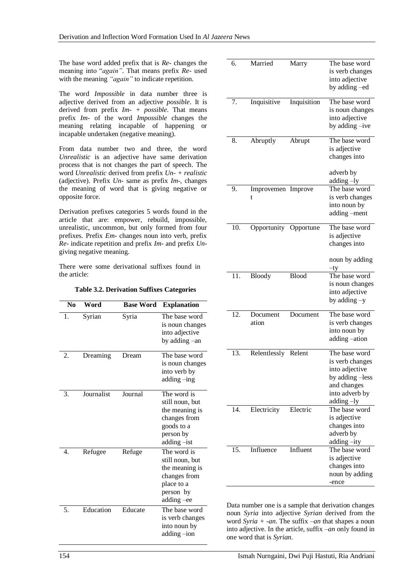The base word added prefix that is *Re-* changes the meaning into "*again"*. That means prefix *Re-* used with the meaning *"again"* to indicate repetition.

The word *Impossible* in data number three is adjective derived from an adjective *possible*. It is derived from prefix *Im- + possible*. That means prefix *Im-* of the word *Impossible* changes the meaning relating incapable of happening or incapable undertaken (negative meaning).

From data number two and three, the word *Unrealistic* is an adjective have same derivation process that is not changes the part of speech. The word *Unrealistic* derived from prefix *Un- + realistic*  (adjective). Prefix *Un-* same as prefix *Im-*, changes the meaning of word that is giving negative or opposite force.

Derivation prefixes categories 5 words found in the article that are: empower, rebuild, impossible, unrealistic, uncommon, but only formed from four prefixes. Prefix *Em-* changes noun into verb, prefix *Re-* indicate repetition and prefix *Im-* and prefix *Un*giving negative meaning.

There were some derivational suffixes found in the article:

**Table 3.2. Derivation Suffixes Categories**

| N <sub>0</sub>   | Word       | <b>Base Word</b> | <b>Explanation</b>                                                                                         |
|------------------|------------|------------------|------------------------------------------------------------------------------------------------------------|
| 1.               | Syrian     | Syria            | The base word<br>is noun changes<br>into adjective<br>by adding -an                                        |
| 2.               | Dreaming   | Dream            | The base word<br>is noun changes<br>into verb by<br>adding-ing                                             |
| 3.               | Journalist | Journal          | The word is<br>still noun, but<br>the meaning is<br>changes from<br>goods to a<br>person by<br>adding -ist |
| $\overline{4}$ . | Refugee    | Refuge           | The word is<br>still noun, but<br>the meaning is<br>changes from<br>place to a<br>person by<br>adding -ee  |
| 5.               | Education  | Educate          | The base word<br>is verb changes<br>into noun by<br>adding-ion                                             |

| б.       | Married                 | Marry        | The base word<br>is verb changes<br>into adjective<br>by adding -ed                                                  |
|----------|-------------------------|--------------|----------------------------------------------------------------------------------------------------------------------|
| 7.       | Inquisitive             | Inquisition  | The base word<br>is noun changes<br>into adjective<br>by adding -ive                                                 |
| 8.       | Abruptly                | Abrupt       | The base word<br>is adjective<br>changes into<br>adverb by                                                           |
| 9.       | Improvemen Improve<br>t |              | adding -ly<br>The base word<br>is verb changes<br>into noun by<br>adding -ment                                       |
| 10.      | Opportunity Opportune   |              | The base word<br>is adjective<br>changes into<br>noun by adding<br>tγ                                                |
| 11.      | Bloody                  | <b>Blood</b> | The base word<br>is noun changes<br>into adjective<br>by adding -y                                                   |
| $12^{-}$ | Document<br>ation       | Document     | The base word<br>is verb changes<br>into noun by<br>adding-ation                                                     |
| 13.      | Relentlessly Relent     |              | The base word<br>is verb changes<br>into adjective<br>by adding -less<br>and changes<br>into adverb by<br>adding -ly |
| 14.      | Electricity             | Electric     | The base word<br>is adjective<br>changes into<br>adverb by<br>adding-ity                                             |
| 15.      | Influence               | Influent     | The base word<br>is adjective<br>changes into<br>noun by adding<br>-ence                                             |

Data number one is a sample that derivation changes noun *Syria* into adjective *Syrian* derived from the word *Syria + -an*. The suffix *–an* that shapes a noun into adjective. In the article, suffix *–an* only found in one word that is *Syrian*.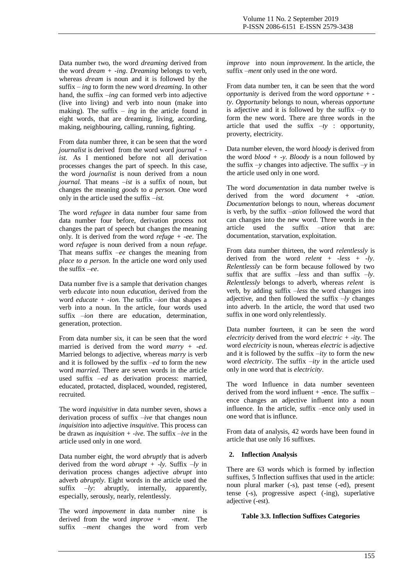Data number two, the word *dreaming* derived from the word *dream + -ing*. *Dreaming* belongs to verb, whereas *dream* is noun and it is followed by the suffix *– ing* to form the new word *dreaming*. In other hand, the suffix *–ing* can formed verb into adjective (live into living) and verb into noun (make into making). The suffix *– ing* in the article found in eight words, that are dreaming, living, according, making, neighbouring, calling, running, fighting.

From data number three, it can be seen that the word *journalist* is derived from the word word *journal + ist.* As I mentioned before not all derivation processes changes the part of speech. In this case, the word *journalist* is noun derived from a noun *journal.* That means *–ist* is a suffix of noun, but changes the meaning *goods* to *a person.* One word only in the article used the suffix *–ist.*

The word *refugee* in data number four same from data number four before, derivation process not changes the part of speech but changes the meaning only. It is derived from the word *refuge + -ee*. The word *refugee* is noun derived from a noun *refuge.*  That means suffix *–ee* changes the meaning from *place to a person*. In the article one word only used the suffix *–ee*.

Data number five is a sample that derivation changes verb *educate* into noun *education*, derived from the word *educate + -ion*. The suffix *–ion* that shapes a verb into a noun. In the article, four words used suffix *–ion* there are education, determination, generation, protection.

From data number six, it can be seen that the word married is derived from the word *marry + -ed*. Married belongs to adjective, whereas *marry* is verb and it is followed by the suffix *–ed* to form the new word *married*. There are seven words in the article used suffix *–ed* as derivation process: married, educated, protacted, displaced, wounded, registered, recruited.

The word *inquisitive* in data number seven, shows a derivation process of suffix *–ive* that changes noun *inquisition* into adjective *insquitive*. This process can be drawn as *inquisition + -ive*. The suffix *–ive* in the article used only in one word.

Data number eight, the word *abruptly* that is adverb derived from the word *abrupt + -ly.* Suffix *–ly* in derivation process changes adjective *abrupt* into adverb *abruptly*. Eight words in the article used the suffix *–ly*: abruptly, internally, apparently, especially, serously, nearly, relentlessly.

The word *impovement* in data number nine is derived from the word *improve + -ment*. The suffix *–ment* changes the word from verb

*improve* into noun *improvement*. In the article, the suffix *–ment* only used in the one word.

From data number ten, it can be seen that the word *opportunity* is derived from the word *opportune + ty*. *Opportunity* belongs to noun, whereas *opportune*  is adjective and it is followed by the suffix *–ty* to form the new word. There are three words in the article that used the suffix  $-ty$  : opportunity, proverty, electricity.

Data number eleven, the word *bloody* is derived from the word *blood + -y*. *Bloody* is a noun followed by the suffix  $-v$  changes into adjective. The suffix  $-v$  in the article used only in one word.

The word *documentation* in data number twelve is derived from the word *document + -ation. Documentation* belongs to noun, whereas *document*  is verb, by the suffix *–ation* followed the word that can changes into the new word. Three words in the article used the suffix *–ation* that are: documentation, starvation, exploitation.

From data number thirteen, the word *relentlessly* is derived from the word *relent + -less + -ly. Relentlessly* can be form because followed by two suffix that are suffix *–less* and than suffix *–ly*. *Relentlessly* belongs to adverb, whereas *relent* is verb, by adding suffix *–less* the word changes into adjective, and then followed the suffix *–ly* changes into adverb. In the article, the word that used two suffix in one word only relentlessly.

Data number fourteen, it can be seen the word *electricity* derived from the word *electric + -ity*. The word *electricity* is noun, whereas *electric* is adjective and it is followed by the suffix *–ity* to form the new word *electricity*. The suffix *–ity* in the article used only in one word that is *electricity*.

The word Influence in data number seventeen derived from the word influent  $+$  -ence. The suffix  $$ ence changes an adjective influent into a noun influence. In the article, suffix –ence only used in one word that is influnce.

From data of analysis, 42 words have been found in article that use only 16 suffixes.

# **2. Inflection Analysis**

There are 63 words which is formed by inflection suffixes, 5 Inflection suffixes that used in the article: noun plural marker (-s), past tense (-ed), present tense (-s), progressive aspect (-ing), superlative adjective (-est).

#### **Table 3.3. Inflection Suffixes Categories**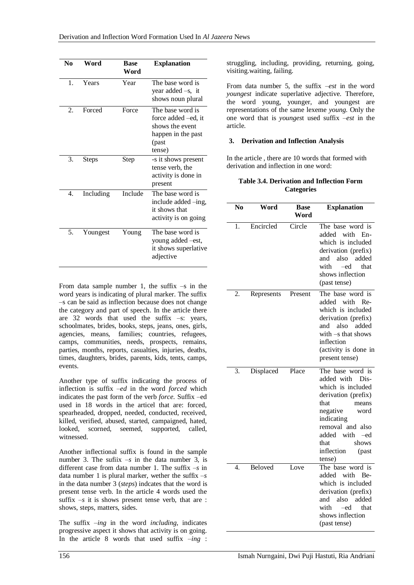| No               | Word         | <b>Base</b><br>Word | <b>Explanation</b>                                                                                   |
|------------------|--------------|---------------------|------------------------------------------------------------------------------------------------------|
| 1.               | Years        | Year                | The base word is<br>year added $-s$ , it<br>shows noun plural                                        |
| $\mathfrak{D}$ . | Forced       | Force               | The base word is<br>force added – ed, it<br>shows the event<br>happen in the past<br>(past<br>tense) |
| 3.               | <b>Steps</b> | Step                | -s it shows present<br>tense verb, the<br>activity is done in<br>present                             |
| 4.               | Including    | Include             | The base word is<br>include added -ing,<br>it shows that<br>activity is on going                     |
| 5.               | Youngest     | Young               | The base word is<br>young added – est,<br>it shows superlative<br>adjective                          |

From data sample number 1, the suffix  $-s$  in the word years is indicating of plural marker. The suffix –s can be said as inflection because does not change the category and part of speech. In the article there are 32 words that used the suffix –s: years, schoolmates, brides, books, steps, jeans, ones, girls, agencies, means, families; countries, refugees, camps, communities, needs, prospects, remains, parties, months, reports, casualties, injuries, deaths, times, daughters, brides, parents, kids, tents, camps, events.

Another type of suffix indicating the process of inflection is suffix *–ed* in the word *forced* which indicates the past form of the verb *force.* Suffix –ed used in 18 words in the articel that are: forced, spearheaded, dropped, needed, conducted, received, killed, verified, abused, started, campaigned, hated, looked, scorned, seemed, supported, called, witnessed.

Another inflectional suffix is found in the sample number 3. The suffix  $-s$  in the data number 3, is different case from data number 1. The suffix *–s* in data number 1 is plural marker, wether the suffix *–s*  in the data number 3 (*steps*) indcates that the word is present tense verb. In the article 4 words used the suffix  $-s$  it is shows present tense verb, that are : shows, steps, matters, sides.

The suffix *–ing* in the word *including*, indicates progressive aspect it shows that activity is on going. In the article 8 words that used suffix *–ing* :

struggling, including, providing, returning, going, visiting.waiting, failing.

From data number 5, the suffix *–est* in the word *youngest* indicate superlative adjective. Therefore, the word young, younger, and youngest are representations of the same lexeme *young*. Only the one word that is *younges*t used suffix *–est* in the article.

# **3. Derivation and Inflection Analysis**

In the article , there are 10 words that formed with derivation and inflection in one word:

# **Table 3.4. Derivation and Inflection Form Categories**

| No | Word       | <b>Base</b><br>Word | <b>Explanation</b>                                                                                                                                                                                                            |
|----|------------|---------------------|-------------------------------------------------------------------------------------------------------------------------------------------------------------------------------------------------------------------------------|
| 1. | Encircled  | Circle              | The base word is<br>with<br>added<br>En-<br>which is included<br>derivation (prefix)<br>and also added<br>with<br>-ed<br>that<br>shows inflection<br>(past tense)                                                             |
| 2. | Represents | Present             | The base word is<br>added<br>with<br>Re-<br>which is included<br>derivation (prefix)<br>also<br>and<br>added<br>with -s that shows<br>inflection<br>(activity is done in<br>present tense)                                    |
| 3. | Displaced  | Place               | The base word is<br>added with<br>Dis-<br>which is included<br>derivation (prefix)<br>that<br>means<br>negative<br>word<br>indicating<br>removal and also<br>added with –ed<br>shows<br>that<br>inflection<br>(past<br>tense) |
| 4. | Beloved    | Love                | The base word is<br>added with<br>Be-<br>which is included<br>derivation (prefix)<br>also<br>added<br>and<br>with<br>-ed<br>that<br>shows inflection<br>(past tense)                                                          |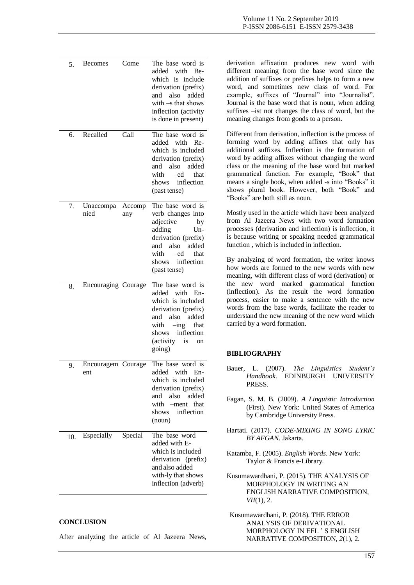| 5.  | <b>Becomes</b>            | Come          | The base word is<br>added with Be-<br>which is include<br>derivation (prefix)<br>and also added<br>with $-s$ that shows<br>inflection (activity<br>is done in present)           | derivation affixation produces new word with<br>different meaning from the base word since the<br>addition of suffixes or prefixes helps to form a new<br>word, and sometimes new class of word. For<br>example, suffixes of "Journal" into "Journalist".<br>Journal is the base word that is noun, when adding<br>suffixes -ist not changes the class of word, but the<br>meaning changes from goods to a person.                                               |
|-----|---------------------------|---------------|----------------------------------------------------------------------------------------------------------------------------------------------------------------------------------|------------------------------------------------------------------------------------------------------------------------------------------------------------------------------------------------------------------------------------------------------------------------------------------------------------------------------------------------------------------------------------------------------------------------------------------------------------------|
| 6.  | Recalled                  | Call          | The base word is<br>added with Re-<br>which is included<br>derivation (prefix)<br>and also added<br>with<br>-ed<br>that<br>shows inflection<br>(past tense)                      | Different from derivation, inflection is the process of<br>forming word by adding affixes that only has<br>additional suffixes. Inflection is the formation of<br>word by adding affixes without changing the word<br>class or the meaning of the base word but marked<br>grammatical function. For example, "Book" that<br>means a single book, when added -s into "Books" it<br>shows plural book. However, both "Book" and<br>"Books" are both still as noun. |
| 7.  | Unaccompa<br>nied         | Accomp<br>any | The base word is<br>verb changes into<br>adjective<br>by<br>Un-<br>adding<br>derivation (prefix)<br>and also added<br>that<br>with<br>—ed<br>inflection<br>shows<br>(past tense) | Mostly used in the article which have been analyzed<br>from Al Jazeera News with two word formation<br>processes (derivation and inflection) is inflection, it<br>is because writing or speaking needed grammatical<br>function, which is included in inflection.<br>By analyzing of word formation, the writer knows<br>how words are formed to the new words with new<br>meaning, with different class of word (derivation) or                                 |
| 8.  | Encouraging Courage       |               | The base word is<br>added with En-<br>which is included<br>derivation (prefix)<br>and also added<br>with<br>$-$ ing that<br>inflection<br>shows<br>(activity is<br>on<br>going)  | the new word marked grammatical function<br>(inflection). As the result the word formation<br>process, easier to make a sentence with the new<br>words from the base words, facilitate the reader to<br>understand the new meaning of the new word which<br>carried by a word formation.<br><b>BIBLIOGRAPHY</b>                                                                                                                                                  |
| 9.  | Encouragem Courage<br>ent |               | The base word is<br>added with En-<br>which is included<br>derivation (prefix)<br>and also added<br>with -ment that<br>shows<br>inflection<br>(noun)                             | The Linguistics Student's<br>Bauer, L. (2007).<br>Handbook.<br>EDINBURGH UNIVERSITY<br>PRESS.<br>Fagan, S. M. B. (2009). A Linguistic Introduction<br>(First). New York: United States of America<br>by Cambridge University Press.                                                                                                                                                                                                                              |
| 10. | Especially                | Special       | The base word<br>added with E-<br>which is included<br>derivation (prefix)<br>and also added<br>with-ly that shows<br>inflection (adverb)                                        | Hartati. (2017). CODE-MIXING IN SONG LYRIC<br>BY AFGAN. Jakarta.<br>Katamba, F. (2005). English Words. New York:<br>Taylor & Francis e-Library.<br>Kusumawardhani, P. (2015). THE ANALYSIS OF<br>MORPHOLOGY IN WRITING AN<br>ENGLISH NARRATIVE COMPOSITION,<br>VII(1), 2.                                                                                                                                                                                        |

Kusumawardhani, P. (2018). THE ERROR ANALYSIS OF DERIVATIONAL MORPHOLOGY IN EFL ' S ENGLISH NARRATIVE COMPOSITION, *2*(1), 2.

# **CONCLUSION**

After analyzing the article of Al Jazeera News,